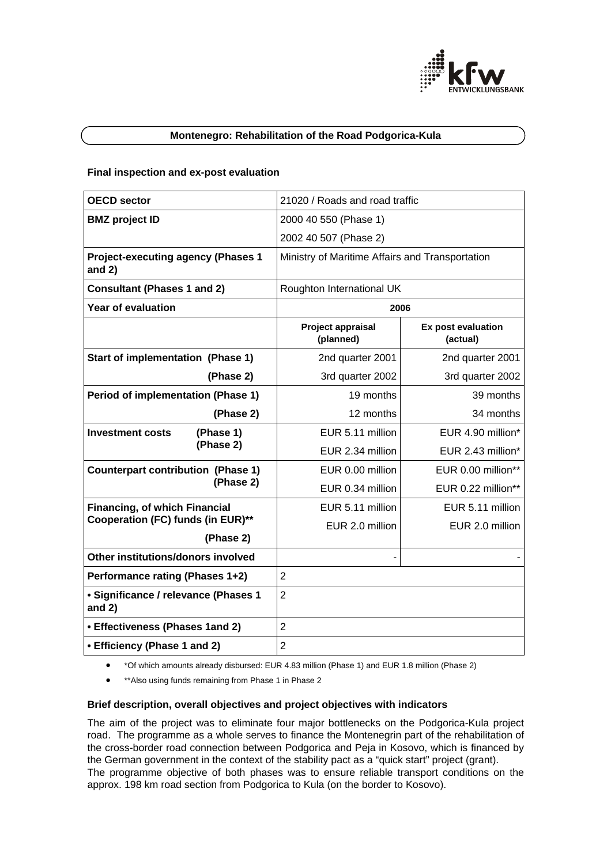

### **Montenegro: Rehabilitation of the Road Podgorica-Kula**

### **Final inspection and ex-post evaluation**

| <b>OECD sector</b>                                                        | 21020 / Roads and road traffic                  |                                |
|---------------------------------------------------------------------------|-------------------------------------------------|--------------------------------|
| <b>BMZ</b> project ID                                                     | 2000 40 550 (Phase 1)                           |                                |
|                                                                           | 2002 40 507 (Phase 2)                           |                                |
| <b>Project-executing agency (Phases 1</b><br>and $2)$                     | Ministry of Maritime Affairs and Transportation |                                |
| <b>Consultant (Phases 1 and 2)</b>                                        | Roughton International UK                       |                                |
| <b>Year of evaluation</b>                                                 | 2006                                            |                                |
|                                                                           | Project appraisal<br>(planned)                  | Ex post evaluation<br>(actual) |
| <b>Start of implementation (Phase 1)</b>                                  | 2nd quarter 2001                                | 2nd quarter 2001               |
| (Phase 2)                                                                 | 3rd quarter 2002                                | 3rd quarter 2002               |
| <b>Period of implementation (Phase 1)</b>                                 | 19 months                                       | 39 months                      |
| (Phase 2)                                                                 | 12 months                                       | 34 months                      |
| (Phase 1)<br><b>Investment costs</b><br>(Phase 2)                         | EUR 5.11 million                                | EUR 4.90 million*              |
|                                                                           | EUR 2.34 million                                | EUR 2.43 million*              |
| <b>Counterpart contribution (Phase 1)</b><br>(Phase 2)                    | EUR 0.00 million                                | EUR 0.00 million**             |
|                                                                           | EUR 0.34 million                                | EUR 0.22 million**             |
| <b>Financing, of which Financial</b><br>Cooperation (FC) funds (in EUR)** | EUR 5.11 million                                | EUR 5.11 million               |
|                                                                           | EUR 2.0 million                                 | EUR 2.0 million                |
| (Phase 2)                                                                 |                                                 |                                |
| Other institutions/donors involved                                        |                                                 |                                |
| Performance rating (Phases 1+2)                                           | $\overline{2}$                                  |                                |
| · Significance / relevance (Phases 1<br>and $2)$                          | $\overline{2}$                                  |                                |
| • Effectiveness (Phases 1and 2)                                           | $\overline{2}$                                  |                                |
| • Efficiency (Phase 1 and 2)                                              | $\overline{2}$                                  |                                |

- \*Of which amounts already disbursed: EUR 4.83 million (Phase 1) and EUR 1.8 million (Phase 2)
- \*\*Also using funds remaining from Phase 1 in Phase 2

### **Brief description, overall objectives and project objectives with indicators**

The aim of the project was to eliminate four major bottlenecks on the Podgorica-Kula project road. The programme as a whole serves to finance the Montenegrin part of the rehabilitation of the cross-border road connection between Podgorica and Peja in Kosovo, which is financed by the German government in the context of the stability pact as a "quick start" project (grant). The programme objective of both phases was to ensure reliable transport conditions on the approx. 198 km road section from Podgorica to Kula (on the border to Kosovo).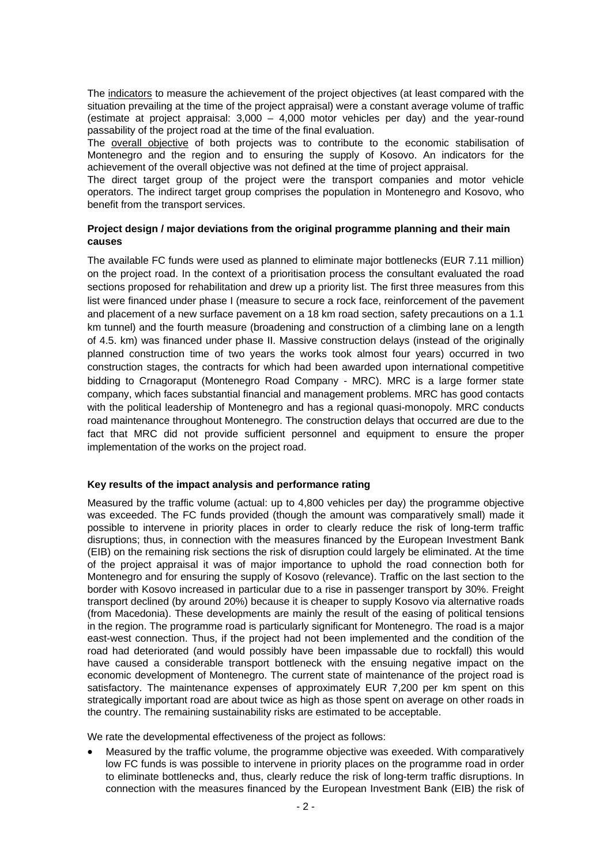The indicators to measure the achievement of the project objectives (at least compared with the situation prevailing at the time of the project appraisal) were a constant average volume of traffic (estimate at project appraisal:  $3,000 - 4,000$  motor vehicles per day) and the year-round passability of the project road at the time of the final evaluation.

The overall objective of both projects was to contribute to the economic stabilisation of Montenegro and the region and to ensuring the supply of Kosovo. An indicators for the achievement of the overall objective was not defined at the time of project appraisal.

The direct target group of the project were the transport companies and motor vehicle operators. The indirect target group comprises the population in Montenegro and Kosovo, who benefit from the transport services.

# **Project design / major deviations from the original programme planning and their main causes**

The available FC funds were used as planned to eliminate major bottlenecks (EUR 7.11 million) on the project road. In the context of a prioritisation process the consultant evaluated the road sections proposed for rehabilitation and drew up a priority list. The first three measures from this list were financed under phase I (measure to secure a rock face, reinforcement of the pavement and placement of a new surface pavement on a 18 km road section, safety precautions on a 1.1 km tunnel) and the fourth measure (broadening and construction of a climbing lane on a length of 4.5. km) was financed under phase II. Massive construction delays (instead of the originally planned construction time of two years the works took almost four years) occurred in two construction stages, the contracts for which had been awarded upon international competitive bidding to Crnagoraput (Montenegro Road Company - MRC). MRC is a large former state company, which faces substantial financial and management problems. MRC has good contacts with the political leadership of Montenegro and has a regional quasi-monopoly. MRC conducts road maintenance throughout Montenegro. The construction delays that occurred are due to the fact that MRC did not provide sufficient personnel and equipment to ensure the proper implementation of the works on the project road.

# **Key results of the impact analysis and performance rating**

Measured by the traffic volume (actual: up to 4,800 vehicles per day) the programme objective was exceeded. The FC funds provided (though the amount was comparatively small) made it possible to intervene in priority places in order to clearly reduce the risk of long-term traffic disruptions; thus, in connection with the measures financed by the European Investment Bank (EIB) on the remaining risk sections the risk of disruption could largely be eliminated. At the time of the project appraisal it was of major importance to uphold the road connection both for Montenegro and for ensuring the supply of Kosovo (relevance). Traffic on the last section to the border with Kosovo increased in particular due to a rise in passenger transport by 30%. Freight transport declined (by around 20%) because it is cheaper to supply Kosovo via alternative roads (from Macedonia). These developments are mainly the result of the easing of political tensions in the region. The programme road is particularly significant for Montenegro. The road is a major east-west connection. Thus, if the project had not been implemented and the condition of the road had deteriorated (and would possibly have been impassable due to rockfall) this would have caused a considerable transport bottleneck with the ensuing negative impact on the economic development of Montenegro. The current state of maintenance of the project road is satisfactory. The maintenance expenses of approximately EUR 7,200 per km spent on this strategically important road are about twice as high as those spent on average on other roads in the country. The remaining sustainability risks are estimated to be acceptable.

We rate the developmental effectiveness of the project as follows:

• Measured by the traffic volume, the programme objective was exeeded. With comparatively low FC funds is was possible to intervene in priority places on the programme road in order to eliminate bottlenecks and, thus, clearly reduce the risk of long-term traffic disruptions. In connection with the measures financed by the European Investment Bank (EIB) the risk of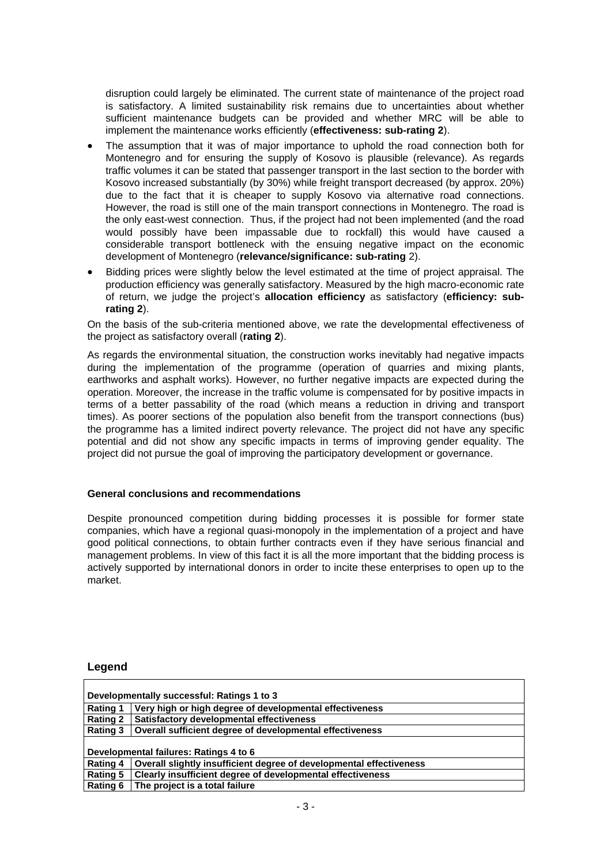disruption could largely be eliminated. The current state of maintenance of the project road is satisfactory. A limited sustainability risk remains due to uncertainties about whether sufficient maintenance budgets can be provided and whether MRC will be able to implement the maintenance works efficiently (**effectiveness: sub-rating 2**).

- The assumption that it was of major importance to uphold the road connection both for Montenegro and for ensuring the supply of Kosovo is plausible (relevance). As regards traffic volumes it can be stated that passenger transport in the last section to the border with Kosovo increased substantially (by 30%) while freight transport decreased (by approx. 20%) due to the fact that it is cheaper to supply Kosovo via alternative road connections. However, the road is still one of the main transport connections in Montenegro. The road is the only east-west connection. Thus, if the project had not been implemented (and the road would possibly have been impassable due to rockfall) this would have caused a considerable transport bottleneck with the ensuing negative impact on the economic development of Montenegro (**relevance/significance: sub-rating** 2).
- Bidding prices were slightly below the level estimated at the time of project appraisal. The production efficiency was generally satisfactory. Measured by the high macro-economic rate of return, we judge the project's **allocation efficiency** as satisfactory (**efficiency: subrating 2**).

On the basis of the sub-criteria mentioned above, we rate the developmental effectiveness of the project as satisfactory overall (**rating 2**).

As regards the environmental situation, the construction works inevitably had negative impacts during the implementation of the programme (operation of quarries and mixing plants, earthworks and asphalt works). However, no further negative impacts are expected during the operation. Moreover, the increase in the traffic volume is compensated for by positive impacts in terms of a better passability of the road (which means a reduction in driving and transport times). As poorer sections of the population also benefit from the transport connections (bus) the programme has a limited indirect poverty relevance. The project did not have any specific potential and did not show any specific impacts in terms of improving gender equality. The project did not pursue the goal of improving the participatory development or governance.

# **General conclusions and recommendations**

Despite pronounced competition during bidding processes it is possible for former state companies, which have a regional quasi-monopoly in the implementation of a project and have good political connections, to obtain further contracts even if they have serious financial and management problems. In view of this fact it is all the more important that the bidding process is actively supported by international donors in order to incite these enterprises to open up to the market.

### **Legend**

| Developmentally successful: Ratings 1 to 3 |                                                                     |  |
|--------------------------------------------|---------------------------------------------------------------------|--|
| <b>Rating 1</b>                            | Very high or high degree of developmental effectiveness             |  |
| <b>Rating 2</b>                            | <b>Satisfactory developmental effectiveness</b>                     |  |
| <b>Rating 3</b>                            | Overall sufficient degree of developmental effectiveness            |  |
|                                            |                                                                     |  |
| Developmental failures: Ratings 4 to 6     |                                                                     |  |
| <b>Rating 4</b>                            | Overall slightly insufficient degree of developmental effectiveness |  |
| <b>Rating 5</b>                            | Clearly insufficient degree of developmental effectiveness          |  |
| Rating 6                                   | The project is a total failure                                      |  |